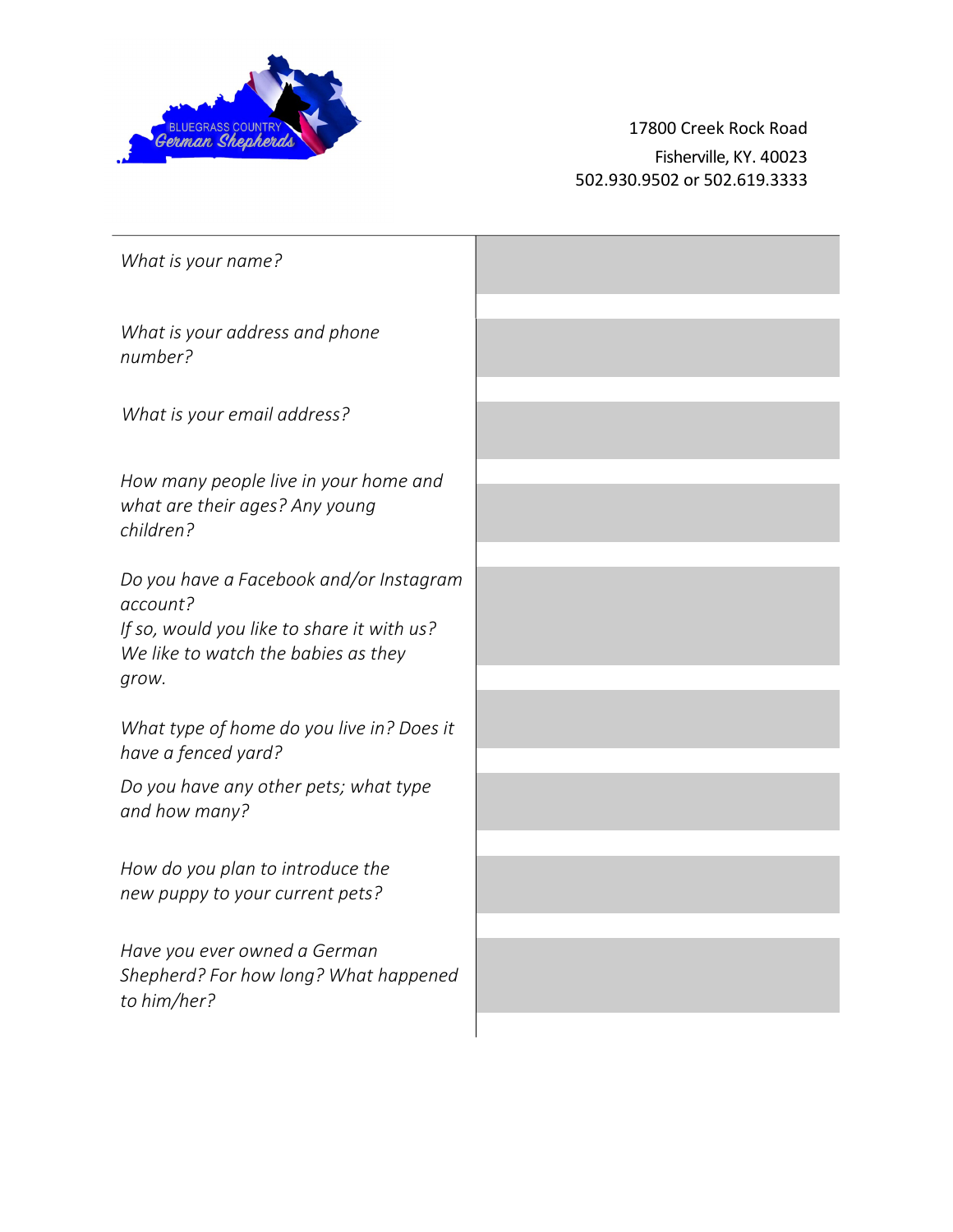

17800 Creek Rock Road Fisherville, KY. 40023 502.930.9502 or 502.619.3333

| What is your name?                                                                                                                                |  |
|---------------------------------------------------------------------------------------------------------------------------------------------------|--|
| What is your address and phone<br>number?                                                                                                         |  |
| What is your email address?                                                                                                                       |  |
| How many people live in your home and<br>what are their ages? Any young<br>children?                                                              |  |
| Do you have a Facebook and/or Instagram<br>account?<br>If so, would you like to share it with us?<br>We like to watch the babies as they<br>grow. |  |
| What type of home do you live in? Does it<br>have a fenced yard?                                                                                  |  |
| Do you have any other pets; what type<br>and how many?                                                                                            |  |
| How do you plan to introduce the<br>new puppy to your current pets?                                                                               |  |
| Have you ever owned a German<br>Shepherd? For how long? What happened<br>to him/her?                                                              |  |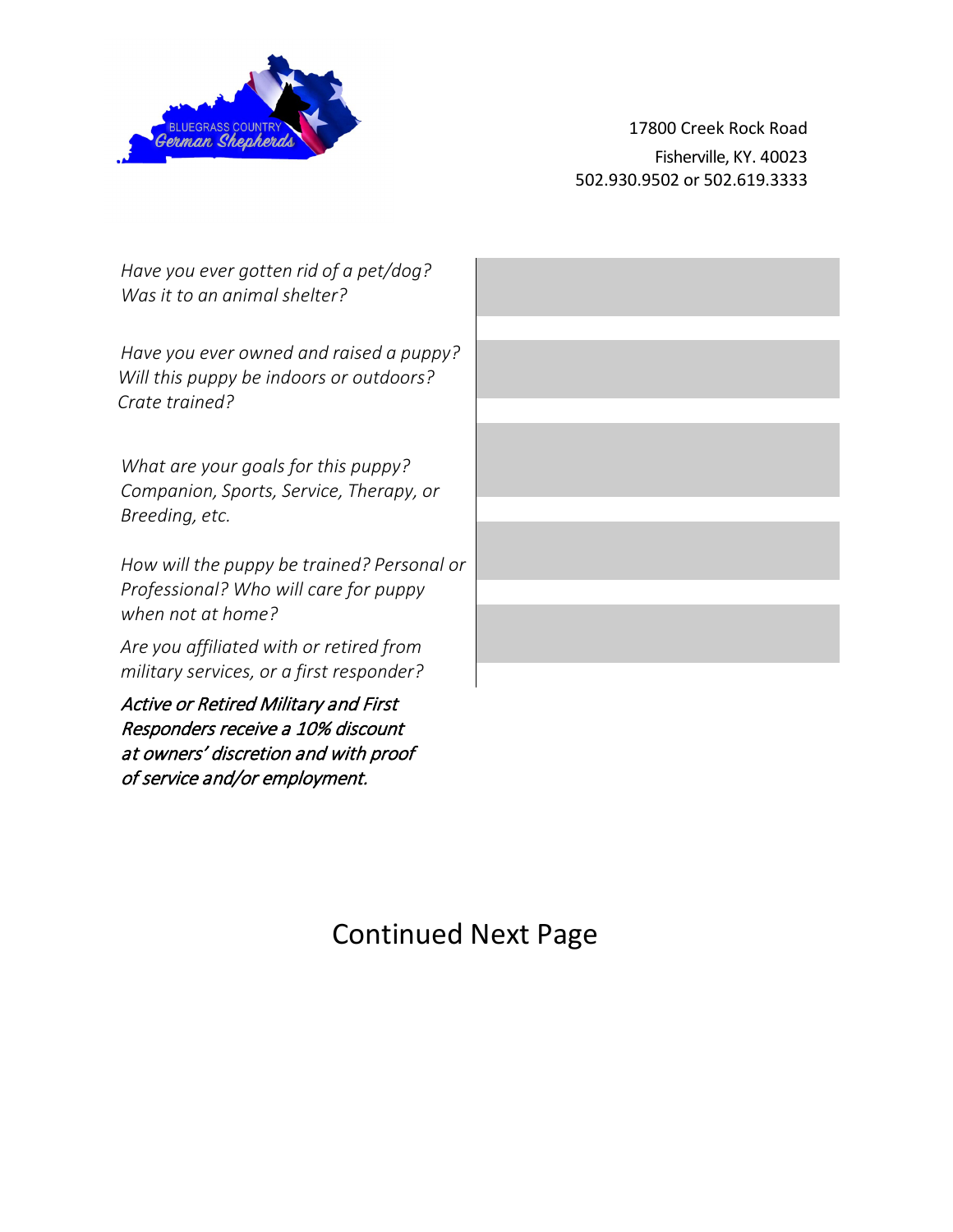

of service and/or employment.

17800 Creek Rock Road Fisherville, KY. 40023 502.930.9502 or 502.619.3333

| Have you ever gotten rid of a pet/dog?<br>Was it to an animal shelter?             |  |
|------------------------------------------------------------------------------------|--|
|                                                                                    |  |
| Have you ever owned and raised a puppy?<br>Will this puppy be indoors or outdoors? |  |
| Crate trained?                                                                     |  |
|                                                                                    |  |
| What are your goals for this puppy?                                                |  |
| Companion, Sports, Service, Therapy, or                                            |  |
| Breeding, etc.                                                                     |  |
|                                                                                    |  |
|                                                                                    |  |
| How will the puppy be trained? Personal or                                         |  |
| Professional? Who will care for puppy                                              |  |
| when not at home?                                                                  |  |
| Are you affiliated with or retired from                                            |  |
| military services, or a first responder?                                           |  |
| <b>Active or Retired Military and First</b>                                        |  |
| Responders receive a 10% discount                                                  |  |
| at owners' discretion and with proof                                               |  |
|                                                                                    |  |

## Continued Next Page